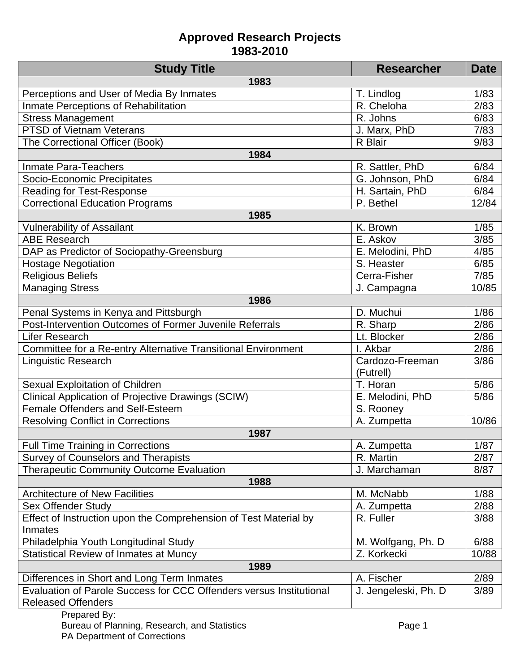| <b>Study Title</b>                                                  | <b>Researcher</b>    | <b>Date</b> |
|---------------------------------------------------------------------|----------------------|-------------|
| 1983                                                                |                      |             |
| Perceptions and User of Media By Inmates                            | T. Lindlog           | 1/83        |
| Inmate Perceptions of Rehabilitation                                | R. Cheloha           | 2/83        |
| <b>Stress Management</b>                                            | R. Johns             | 6/83        |
| <b>PTSD of Vietnam Veterans</b>                                     | J. Marx, PhD         | 7/83        |
| The Correctional Officer (Book)                                     | R Blair              | 9/83        |
| 1984                                                                |                      |             |
| <b>Inmate Para-Teachers</b>                                         | R. Sattler, PhD      | 6/84        |
| Socio-Economic Precipitates                                         | G. Johnson, PhD      | 6/84        |
| <b>Reading for Test-Response</b>                                    | H. Sartain, PhD      | 6/84        |
| <b>Correctional Education Programs</b>                              | P. Bethel            | 12/84       |
| 1985                                                                |                      |             |
| <b>Vulnerability of Assailant</b>                                   | K. Brown             | 1/85        |
| <b>ABE Research</b>                                                 | E. Askov             | 3/85        |
| DAP as Predictor of Sociopathy-Greensburg                           | E. Melodini, PhD     | 4/85        |
| <b>Hostage Negotiation</b>                                          | S. Heaster           | 6/85        |
| <b>Religious Beliefs</b>                                            | Cerra-Fisher         | 7/85        |
| <b>Managing Stress</b>                                              | J. Campagna          | 10/85       |
| 1986                                                                |                      |             |
| Penal Systems in Kenya and Pittsburgh                               | D. Muchui            | 1/86        |
| Post-Intervention Outcomes of Former Juvenile Referrals             | R. Sharp             | 2/86        |
| Lifer Research                                                      | Lt. Blocker          | 2/86        |
| Committee for a Re-entry Alternative Transitional Environment       | I. Akbar             | 2/86        |
| Linguistic Research                                                 | Cardozo-Freeman      | 3/86        |
|                                                                     | (Futrell)            |             |
| Sexual Exploitation of Children                                     | T. Horan             | 5/86        |
| Clinical Application of Projective Drawings (SCIW)                  | E. Melodini, PhD     | 5/86        |
| Female Offenders and Self-Esteem                                    | S. Rooney            |             |
| <b>Resolving Conflict in Corrections</b>                            | A. Zumpetta          | 10/86       |
| 1987                                                                |                      |             |
| Full Time Training in Corrections                                   | A. Zumpetta          | 1/87        |
| <b>Survey of Counselors and Therapists</b>                          | R. Martin            | 2/87        |
| <b>Therapeutic Community Outcome Evaluation</b>                     | J. Marchaman         | 8/87        |
| 1988                                                                |                      |             |
| <b>Architecture of New Facilities</b>                               | M. McNabb            | 1/88        |
| <b>Sex Offender Study</b>                                           | A. Zumpetta          | 2/88        |
| Effect of Instruction upon the Comprehension of Test Material by    | R. Fuller            | 3/88        |
| Inmates                                                             |                      |             |
| Philadelphia Youth Longitudinal Study                               | M. Wolfgang, Ph. D.  | 6/88        |
| <b>Statistical Review of Inmates at Muncy</b>                       | Z. Korkecki          | 10/88       |
| 1989                                                                |                      |             |
| Differences in Short and Long Term Inmates                          | A. Fischer           | 2/89        |
| Evaluation of Parole Success for CCC Offenders versus Institutional | J. Jengeleski, Ph. D | 3/89        |
| <b>Released Offenders</b>                                           |                      |             |
| Prepared By:                                                        |                      |             |
| Bureau of Planning, Research, and Statistics                        | Page 1               |             |

PA Department of Corrections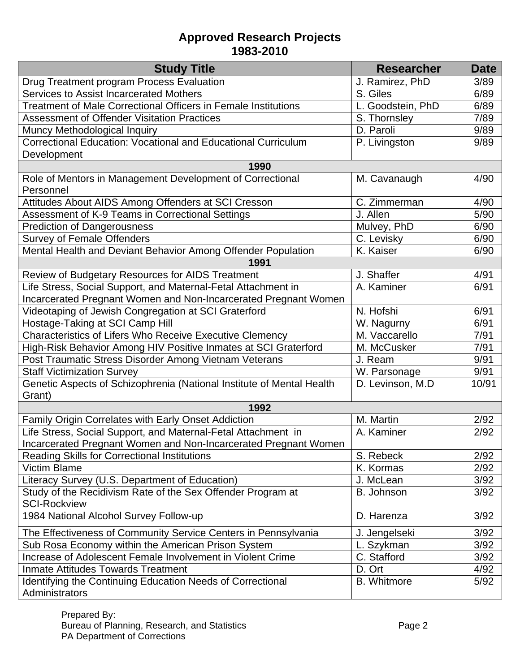| <b>Study Title</b>                                                              | <b>Researcher</b>  | <b>Date</b> |
|---------------------------------------------------------------------------------|--------------------|-------------|
| Drug Treatment program Process Evaluation                                       | J. Ramirez, PhD    | 3/89        |
| Services to Assist Incarcerated Mothers                                         | S. Giles           | 6/89        |
| <b>Treatment of Male Correctional Officers in Female Institutions</b>           | L. Goodstein, PhD  | 6/89        |
| <b>Assessment of Offender Visitation Practices</b>                              | S. Thornsley       | 7/89        |
| Muncy Methodological Inquiry                                                    | D. Paroli          | 9/89        |
| Correctional Education: Vocational and Educational Curriculum                   | P. Livingston      | 9/89        |
| Development                                                                     |                    |             |
| 1990                                                                            |                    |             |
| Role of Mentors in Management Development of Correctional<br>Personnel          | M. Cavanaugh       | 4/90        |
| Attitudes About AIDS Among Offenders at SCI Cresson                             | C. Zimmerman       | 4/90        |
| Assessment of K-9 Teams in Correctional Settings                                | J. Allen           | 5/90        |
| <b>Prediction of Dangerousness</b>                                              | Mulvey, PhD        | 6/90        |
| <b>Survey of Female Offenders</b>                                               | C. Levisky         | 6/90        |
| Mental Health and Deviant Behavior Among Offender Population                    | K. Kaiser          | 6/90        |
| 1991                                                                            |                    |             |
| Review of Budgetary Resources for AIDS Treatment                                | J. Shaffer         | 4/91        |
| Life Stress, Social Support, and Maternal-Fetal Attachment in                   | A. Kaminer         | 6/91        |
| Incarcerated Pregnant Women and Non-Incarcerated Pregnant Women                 |                    |             |
| Videotaping of Jewish Congregation at SCI Graterford                            | N. Hofshi          | 6/91        |
| Hostage-Taking at SCI Camp Hill                                                 | W. Nagurny         | 6/91        |
| Characteristics of Lifers Who Receive Executive Clemency                        | M. Vaccarello      | 7/91        |
| High-Risk Behavior Among HIV Positive Inmates at SCI Graterford                 | M. McCusker        | 7/91        |
| Post Traumatic Stress Disorder Among Vietnam Veterans                           | J. Ream            | 9/91        |
| <b>Staff Victimization Survey</b>                                               | W. Parsonage       | 9/91        |
| Genetic Aspects of Schizophrenia (National Institute of Mental Health<br>Grant) | D. Levinson, M.D.  | 10/91       |
| 1992                                                                            |                    |             |
| Family Origin Correlates with Early Onset Addiction                             | M. Martin          | 2/92        |
| Life Stress, Social Support, and Maternal-Fetal Attachment in                   | A. Kaminer         | 2/92        |
| Incarcerated Pregnant Women and Non-Incarcerated Pregnant Women                 |                    |             |
| <b>Reading Skills for Correctional Institutions</b>                             | S. Rebeck          | 2/92        |
| <b>Victim Blame</b>                                                             | K. Kormas          | 2/92        |
| Literacy Survey (U.S. Department of Education)                                  | J. McLean          | 3/92        |
| Study of the Recidivism Rate of the Sex Offender Program at                     | B. Johnson         | 3/92        |
| <b>SCI-Rockview</b>                                                             |                    |             |
| 1984 National Alcohol Survey Follow-up                                          | D. Harenza         | 3/92        |
| The Effectiveness of Community Service Centers in Pennsylvania                  | J. Jengelseki      | 3/92        |
| Sub Rosa Economy within the American Prison System                              | L. Szykman         | 3/92        |
| Increase of Adolescent Female Involvement in Violent Crime                      | C. Stafford        | 3/92        |
| <b>Inmate Attitudes Towards Treatment</b>                                       | D. Ort             | 4/92        |
| Identifying the Continuing Education Needs of Correctional<br>Administrators    | <b>B.</b> Whitmore | 5/92        |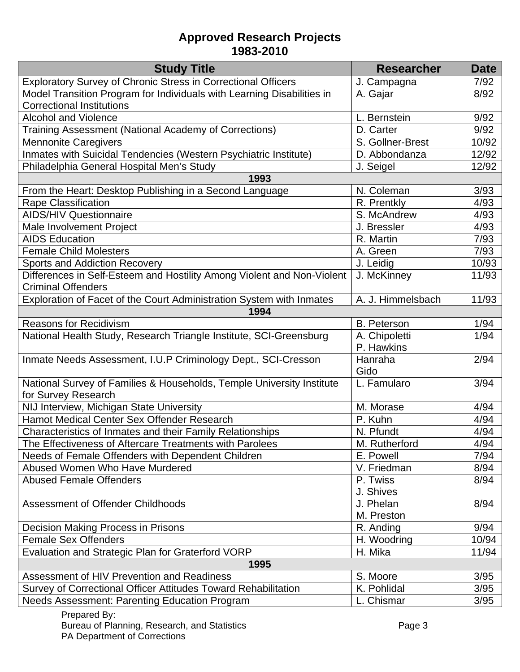| <b>Study Title</b>                                                     | <b>Researcher</b>  | <b>Date</b> |
|------------------------------------------------------------------------|--------------------|-------------|
| Exploratory Survey of Chronic Stress in Correctional Officers          | J. Campagna        | 7/92        |
| Model Transition Program for Individuals with Learning Disabilities in | A. Gajar           | 8/92        |
| <b>Correctional Institutions</b>                                       |                    |             |
| <b>Alcohol and Violence</b>                                            | L. Bernstein       | 9/92        |
| Training Assessment (National Academy of Corrections)                  | D. Carter          | 9/92        |
| <b>Mennonite Caregivers</b>                                            | S. Gollner-Brest   | 10/92       |
| Inmates with Suicidal Tendencies (Western Psychiatric Institute)       | D. Abbondanza      | 12/92       |
| Philadelphia General Hospital Men's Study                              | J. Seigel          | 12/92       |
| 1993                                                                   |                    |             |
| From the Heart: Desktop Publishing in a Second Language                | N. Coleman         | 3/93        |
| Rape Classification                                                    | R. Prentkly        | 4/93        |
| <b>AIDS/HIV Questionnaire</b>                                          | S. McAndrew        | 4/93        |
| Male Involvement Project                                               | J. Bressler        | 4/93        |
| <b>AIDS Education</b>                                                  | R. Martin          | 7/93        |
| <b>Female Child Molesters</b>                                          | A. Green           | 7/93        |
| <b>Sports and Addiction Recovery</b>                                   | J. Leidig          | 10/93       |
| Differences in Self-Esteem and Hostility Among Violent and Non-Violent | J. McKinney        | 11/93       |
| <b>Criminal Offenders</b>                                              |                    |             |
| Exploration of Facet of the Court Administration System with Inmates   | A. J. Himmelsbach  | 11/93       |
| 1994                                                                   |                    |             |
| <b>Reasons for Recidivism</b>                                          | <b>B.</b> Peterson | 1/94        |
| National Health Study, Research Triangle Institute, SCI-Greensburg     | A. Chipoletti      | 1/94        |
|                                                                        | P. Hawkins         |             |
| Inmate Needs Assessment, I.U.P Criminology Dept., SCI-Cresson          | Hanraha            | 2/94        |
|                                                                        | Gido               |             |
| National Survey of Families & Households, Temple University Institute  | L. Famularo        | 3/94        |
| for Survey Research                                                    |                    |             |
| NIJ Interview, Michigan State University                               | M. Morase          | 4/94        |
| Hamot Medical Center Sex Offender Research                             | P. Kuhn            | 4/94        |
| Characteristics of Inmates and their Family Relationships              | N. Pfundt          | 4/94        |
| The Effectiveness of Aftercare Treatments with Parolees                | M. Rutherford      | 4/94        |
| Needs of Female Offenders with Dependent Children                      | E. Powell          | 7/94        |
| Abused Women Who Have Murdered                                         | V. Friedman        | 8/94        |
| <b>Abused Female Offenders</b>                                         | P. Twiss           | 8/94        |
|                                                                        | J. Shives          |             |
| Assessment of Offender Childhoods                                      | J. Phelan          | 8/94        |
|                                                                        | M. Preston         |             |
| <b>Decision Making Process in Prisons</b>                              | R. Anding          | 9/94        |
| <b>Female Sex Offenders</b>                                            | H. Woodring        | 10/94       |
| Evaluation and Strategic Plan for Graterford VORP                      | H. Mika            | 11/94       |
| 1995                                                                   |                    |             |
| Assessment of HIV Prevention and Readiness                             | S. Moore           | 3/95        |
| Survey of Correctional Officer Attitudes Toward Rehabilitation         | K. Pohlidal        | 3/95        |
| Needs Assessment: Parenting Education Program                          | L. Chismar         | 3/95        |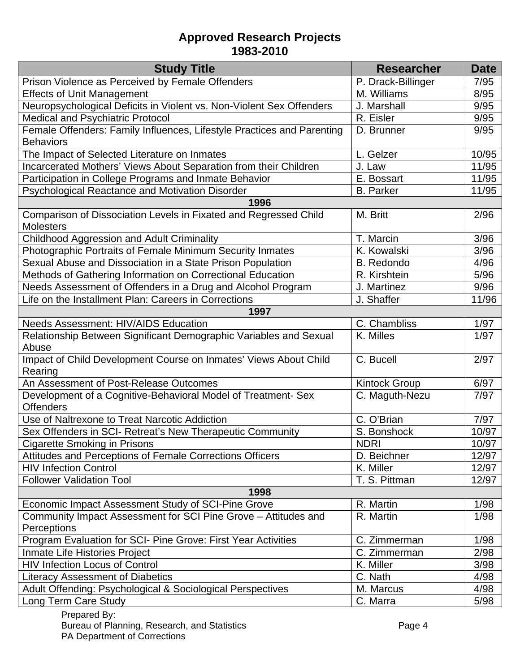| Prison Violence as Perceived by Female Offenders<br>P. Drack-Billinger                              | 7/95  |
|-----------------------------------------------------------------------------------------------------|-------|
|                                                                                                     |       |
| <b>Effects of Unit Management</b><br>M. Williams                                                    | 8/95  |
| Neuropsychological Deficits in Violent vs. Non-Violent Sex Offenders<br>J. Marshall                 | 9/95  |
| Medical and Psychiatric Protocol<br>R. Eisler                                                       | 9/95  |
| Female Offenders: Family Influences, Lifestyle Practices and Parenting<br>D. Brunner                | 9/95  |
| <b>Behaviors</b>                                                                                    |       |
| The Impact of Selected Literature on Inmates<br>L. Gelzer                                           | 10/95 |
| Incarcerated Mothers' Views About Separation from their Children<br>J. Law                          | 11/95 |
| Participation in College Programs and Inmate Behavior<br>E. Bossart                                 | 11/95 |
| Psychological Reactance and Motivation Disorder<br><b>B.</b> Parker                                 | 11/95 |
| 1996                                                                                                |       |
| Comparison of Dissociation Levels in Fixated and Regressed Child<br>M. Britt                        | 2/96  |
| <b>Molesters</b>                                                                                    |       |
| <b>Childhood Aggression and Adult Criminality</b><br>T. Marcin                                      | 3/96  |
| Photographic Portraits of Female Minimum Security Inmates<br>K. Kowalski                            | 3/96  |
| Sexual Abuse and Dissociation in a State Prison Population<br><b>B.</b> Redondo                     | 4/96  |
| Methods of Gathering Information on Correctional Education<br>R. Kirshtein                          | 5/96  |
| Needs Assessment of Offenders in a Drug and Alcohol Program<br>J. Martinez                          | 9/96  |
| Life on the Installment Plan: Careers in Corrections<br>J. Shaffer                                  | 11/96 |
| 1997                                                                                                |       |
| <b>Needs Assessment: HIV/AIDS Education</b><br>C. Chambliss                                         | 1/97  |
| Relationship Between Significant Demographic Variables and Sexual<br>K. Milles                      | 1/97  |
| Abuse                                                                                               |       |
| Impact of Child Development Course on Inmates' Views About Child<br>C. Bucell                       | 2/97  |
| Rearing                                                                                             |       |
| An Assessment of Post-Release Outcomes<br><b>Kintock Group</b>                                      | 6/97  |
| Development of a Cognitive-Behavioral Model of Treatment- Sex<br>C. Maguth-Nezu<br><b>Offenders</b> | 7/97  |
| C. O'Brian<br>Use of Naltrexone to Treat Narcotic Addiction                                         | 7/97  |
| Sex Offenders in SCI- Retreat's New Therapeutic Community<br>S. Bonshock                            | 10/97 |
| <b>NDRI</b><br><b>Cigarette Smoking in Prisons</b>                                                  | 10/97 |
| Attitudes and Perceptions of Female Corrections Officers<br>D. Beichner                             | 12/97 |
| <b>HIV Infection Control</b><br>K. Miller                                                           | 12/97 |
| <b>Follower Validation Tool</b><br>T. S. Pittman                                                    | 12/97 |
| 1998                                                                                                |       |
| Economic Impact Assessment Study of SCI-Pine Grove<br>R. Martin                                     | 1/98  |
| Community Impact Assessment for SCI Pine Grove - Attitudes and<br>R. Martin                         | 1/98  |
| Perceptions                                                                                         |       |
| Program Evaluation for SCI- Pine Grove: First Year Activities<br>C. Zimmerman                       | 1/98  |
| C. Zimmerman<br>Inmate Life Histories Project                                                       | 2/98  |
| <b>HIV Infection Locus of Control</b><br>K. Miller                                                  | 3/98  |
| C. Nath<br><b>Literacy Assessment of Diabetics</b>                                                  | 4/98  |
| Adult Offending: Psychological & Sociological Perspectives<br>M. Marcus                             | 4/98  |
| Long Term Care Study<br>C. Marra                                                                    | 5/98  |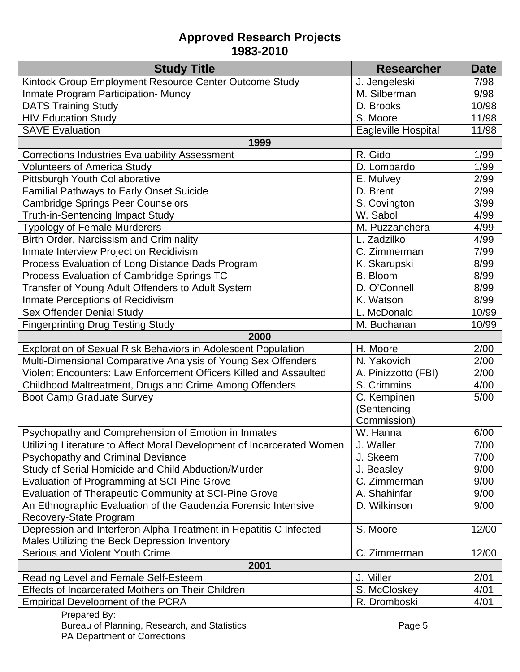| <b>Study Title</b>                                                     | <b>Researcher</b>   | <b>Date</b> |
|------------------------------------------------------------------------|---------------------|-------------|
| Kintock Group Employment Resource Center Outcome Study                 | J. Jengeleski       | 7/98        |
| <b>Inmate Program Participation- Muncy</b>                             | M. Silberman        | 9/98        |
| <b>DATS Training Study</b>                                             | D. Brooks           | 10/98       |
| <b>HIV Education Study</b>                                             | S. Moore            | 11/98       |
| <b>SAVE Evaluation</b>                                                 | Eagleville Hospital | 11/98       |
| 1999                                                                   |                     |             |
| <b>Corrections Industries Evaluability Assessment</b>                  | R. Gido             | 1/99        |
| <b>Volunteers of America Study</b>                                     | D. Lombardo         | 1/99        |
| Pittsburgh Youth Collaborative                                         | E. Mulvey           | 2/99        |
| <b>Familial Pathways to Early Onset Suicide</b>                        | D. Brent            | 2/99        |
| <b>Cambridge Springs Peer Counselors</b>                               | S. Covington        | 3/99        |
| <b>Truth-in-Sentencing Impact Study</b>                                | W. Sabol            | 4/99        |
| <b>Typology of Female Murderers</b>                                    | M. Puzzanchera      | 4/99        |
| <b>Birth Order, Narcissism and Criminality</b>                         | L. Zadzilko         | 4/99        |
| Inmate Interview Project on Recidivism                                 | C. Zimmerman        | 7/99        |
| Process Evaluation of Long Distance Dads Program                       | K. Skarupski        | 8/99        |
| Process Evaluation of Cambridge Springs TC                             | B. Bloom            | 8/99        |
| Transfer of Young Adult Offenders to Adult System                      | D. O'Connell        | 8/99        |
| Inmate Perceptions of Recidivism                                       | K. Watson           | 8/99        |
| Sex Offender Denial Study                                              | L. McDonald         | 10/99       |
| <b>Fingerprinting Drug Testing Study</b>                               | M. Buchanan         | 10/99       |
| 2000                                                                   |                     |             |
| Exploration of Sexual Risk Behaviors in Adolescent Population          | H. Moore            | 2/00        |
| Multi-Dimensional Comparative Analysis of Young Sex Offenders          | N. Yakovich         | 2/00        |
| Violent Encounters: Law Enforcement Officers Killed and Assaulted      | A. Pinizzotto (FBI) | 2/00        |
| Childhood Maltreatment, Drugs and Crime Among Offenders                | S. Crimmins         | 4/00        |
| <b>Boot Camp Graduate Survey</b>                                       | C. Kempinen         | 5/00        |
|                                                                        | (Sentencing         |             |
|                                                                        | Commission)         |             |
| Psychopathy and Comprehension of Emotion in Inmates                    | W. Hanna            | 6/00        |
| Utilizing Literature to Affect Moral Development of Incarcerated Women | J. Waller           | 7/00        |
| <b>Psychopathy and Criminal Deviance</b>                               | J. Skeem            | 7/00        |
| Study of Serial Homicide and Child Abduction/Murder                    | J. Beasley          | 9/00        |
| Evaluation of Programming at SCI-Pine Grove                            | C. Zimmerman        | 9/00        |
| <b>Evaluation of Therapeutic Community at SCI-Pine Grove</b>           | A. Shahinfar        | 9/00        |
| An Ethnographic Evaluation of the Gaudenzia Forensic Intensive         | D. Wilkinson        | 9/00        |
| Recovery-State Program                                                 |                     |             |
| Depression and Interferon Alpha Treatment in Hepatitis C Infected      | S. Moore            | 12/00       |
| Males Utilizing the Beck Depression Inventory                          |                     |             |
| <b>Serious and Violent Youth Crime</b><br>2001                         | C. Zimmerman        | 12/00       |
| Reading Level and Female Self-Esteem                                   | J. Miller           | 2/01        |
| Effects of Incarcerated Mothers on Their Children                      | S. McCloskey        | 4/01        |
|                                                                        | R. Dromboski        | 4/01        |
| <b>Empirical Development of the PCRA</b>                               |                     |             |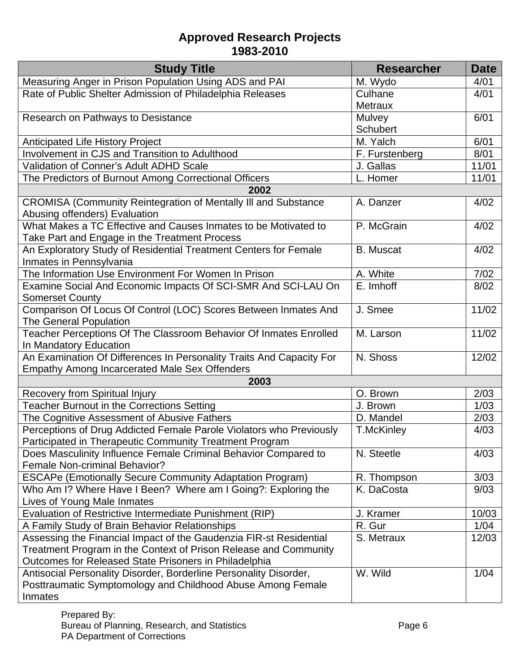| <b>Study Title</b>                                                                                               | <b>Researcher</b>     | <b>Date</b> |
|------------------------------------------------------------------------------------------------------------------|-----------------------|-------------|
| Measuring Anger in Prison Population Using ADS and PAI                                                           | M. Wydo               | 4/01        |
| Rate of Public Shelter Admission of Philadelphia Releases                                                        | Culhane               | 4/01        |
|                                                                                                                  | <b>Metraux</b>        |             |
| Research on Pathways to Desistance                                                                               | Mulvey                | 6/01        |
|                                                                                                                  | <b>Schubert</b>       |             |
| <b>Anticipated Life History Project</b>                                                                          | M. Yalch              | 6/01        |
| Involvement in CJS and Transition to Adulthood                                                                   | F. Furstenberg        | 8/01        |
| Validation of Conner's Adult ADHD Scale                                                                          | J. Gallas             | 11/01       |
| The Predictors of Burnout Among Correctional Officers                                                            | L. Homer              | 11/01       |
| 2002                                                                                                             |                       |             |
| <b>CROMISA (Community Reintegration of Mentally III and Substance</b>                                            | A. Danzer             | 4/02        |
| Abusing offenders) Evaluation                                                                                    |                       |             |
| What Makes a TC Effective and Causes Inmates to be Motivated to<br>Take Part and Engage in the Treatment Process | P. McGrain            | 4/02        |
| An Exploratory Study of Residential Treatment Centers for Female                                                 | <b>B.</b> Muscat      | 4/02        |
| Inmates in Pennsylvania                                                                                          |                       |             |
| The Information Use Environment For Women In Prison                                                              | A. White              | 7/02        |
| Examine Social And Economic Impacts Of SCI-SMR And SCI-LAU On                                                    | E. Imhoff             | 8/02        |
| <b>Somerset County</b>                                                                                           |                       |             |
| Comparison Of Locus Of Control (LOC) Scores Between Inmates And                                                  | J. Smee               | 11/02       |
| <b>The General Population</b>                                                                                    |                       |             |
| Teacher Perceptions Of The Classroom Behavior Of Inmates Enrolled                                                | M. Larson             | 11/02       |
| In Mandatory Education                                                                                           |                       |             |
| An Examination Of Differences In Personality Traits And Capacity For                                             | N. Shoss              | 12/02       |
| <b>Empathy Among Incarcerated Male Sex Offenders</b>                                                             |                       |             |
| 2003                                                                                                             |                       |             |
| <b>Recovery from Spiritual Injury</b>                                                                            | O. Brown              | 2/03        |
| <b>Teacher Burnout in the Corrections Setting</b>                                                                | J. Brown<br>D. Mandel | 1/03        |
| The Cognitive Assessment of Abusive Fathers                                                                      | <b>T.McKinley</b>     | 2/03        |
| Perceptions of Drug Addicted Female Parole Violators who Previously                                              |                       | 4/03        |
| Participated in Therapeutic Community Treatment Program                                                          | N. Steetle            | 4/03        |
| Does Masculinity Influence Female Criminal Behavior Compared to<br><b>Female Non-criminal Behavior?</b>          |                       |             |
| ESCAPe (Emotionally Secure Community Adaptation Program)                                                         | R. Thompson           | 3/03        |
| Who Am I? Where Have I Been? Where am I Going?: Exploring the                                                    | K. DaCosta            | 9/03        |
| Lives of Young Male Inmates                                                                                      |                       |             |
| Evaluation of Restrictive Intermediate Punishment (RIP)                                                          | J. Kramer             | 10/03       |
| A Family Study of Brain Behavior Relationships                                                                   | R. Gur                | 1/04        |
| Assessing the Financial Impact of the Gaudenzia FIR-st Residential                                               | S. Metraux            | 12/03       |
| Treatment Program in the Context of Prison Release and Community                                                 |                       |             |
| Outcomes for Released State Prisoners in Philadelphia                                                            |                       |             |
| Antisocial Personality Disorder, Borderline Personality Disorder,                                                | W. Wild               | 1/04        |
| Posttraumatic Symptomology and Childhood Abuse Among Female                                                      |                       |             |
| Inmates                                                                                                          |                       |             |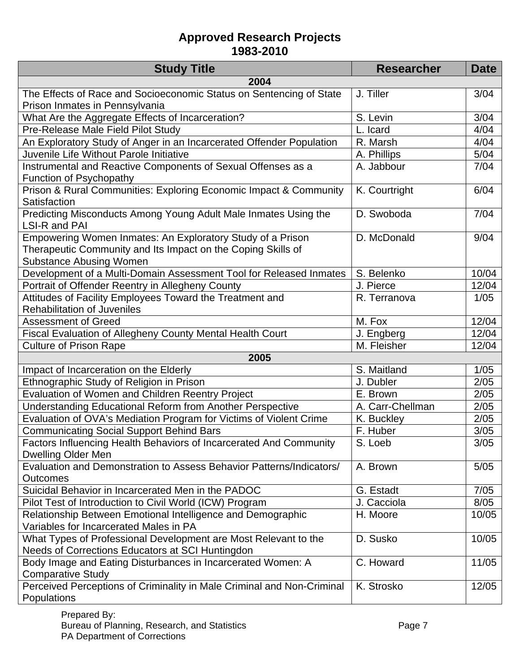| <b>Study Title</b>                                                                                                                                           | <b>Researcher</b> | <b>Date</b> |
|--------------------------------------------------------------------------------------------------------------------------------------------------------------|-------------------|-------------|
| 2004                                                                                                                                                         |                   |             |
| The Effects of Race and Socioeconomic Status on Sentencing of State                                                                                          | J. Tiller         | 3/04        |
| Prison Inmates in Pennsylvania                                                                                                                               |                   |             |
| What Are the Aggregate Effects of Incarceration?                                                                                                             | S. Levin          | 3/04        |
| Pre-Release Male Field Pilot Study                                                                                                                           | L. Icard          | 4/04        |
| An Exploratory Study of Anger in an Incarcerated Offender Population                                                                                         | R. Marsh          | 4/04        |
| Juvenile Life Without Parole Initiative                                                                                                                      | A. Phillips       | 5/04        |
| Instrumental and Reactive Components of Sexual Offenses as a<br><b>Function of Psychopathy</b>                                                               | A. Jabbour        | 7/04        |
| Prison & Rural Communities: Exploring Economic Impact & Community<br>Satisfaction                                                                            | K. Courtright     | 6/04        |
| Predicting Misconducts Among Young Adult Male Inmates Using the<br><b>LSI-R and PAI</b>                                                                      | D. Swoboda        | 7/04        |
| Empowering Women Inmates: An Exploratory Study of a Prison<br>Therapeutic Community and Its Impact on the Coping Skills of<br><b>Substance Abusing Women</b> | D. McDonald       | 9/04        |
| Development of a Multi-Domain Assessment Tool for Released Inmates                                                                                           | S. Belenko        | 10/04       |
| Portrait of Offender Reentry in Allegheny County                                                                                                             | J. Pierce         | 12/04       |
| Attitudes of Facility Employees Toward the Treatment and<br><b>Rehabilitation of Juveniles</b>                                                               | R. Terranova      | 1/05        |
| <b>Assessment of Greed</b>                                                                                                                                   | M. Fox            | 12/04       |
| Fiscal Evaluation of Allegheny County Mental Health Court                                                                                                    | J. Engberg        | 12/04       |
| <b>Culture of Prison Rape</b>                                                                                                                                | M. Fleisher       | 12/04       |
| 2005                                                                                                                                                         |                   |             |
| Impact of Incarceration on the Elderly                                                                                                                       | S. Maitland       | 1/05        |
| Ethnographic Study of Religion in Prison                                                                                                                     | J. Dubler         | 2/05        |
| Evaluation of Women and Children Reentry Project                                                                                                             | E. Brown          | 2/05        |
| Understanding Educational Reform from Another Perspective                                                                                                    | A. Carr-Chellman  | 2/05        |
| Evaluation of OVA's Mediation Program for Victims of Violent Crime                                                                                           | K. Buckley        | 2/05        |
| <b>Communicating Social Support Behind Bars</b>                                                                                                              | F. Huber          | 3/05        |
| Factors Influencing Health Behaviors of Incarcerated And Community<br>Dwelling Older Men                                                                     | S. Loeb           | 3/05        |
| Evaluation and Demonstration to Assess Behavior Patterns/Indicators/<br><b>Outcomes</b>                                                                      | A. Brown          | 5/05        |
| Suicidal Behavior in Incarcerated Men in the PADOC                                                                                                           | G. Estadt         | 7/05        |
| Pilot Test of Introduction to Civil World (ICW) Program                                                                                                      | J. Cacciola       | 8/05        |
| Relationship Between Emotional Intelligence and Demographic<br>Variables for Incarcerated Males in PA                                                        | H. Moore          | 10/05       |
| What Types of Professional Development are Most Relevant to the<br>Needs of Corrections Educators at SCI Huntingdon                                          | D. Susko          | 10/05       |
| Body Image and Eating Disturbances in Incarcerated Women: A<br><b>Comparative Study</b>                                                                      | C. Howard         | 11/05       |
| Perceived Perceptions of Criminality in Male Criminal and Non-Criminal<br>Populations                                                                        | K. Strosko        | 12/05       |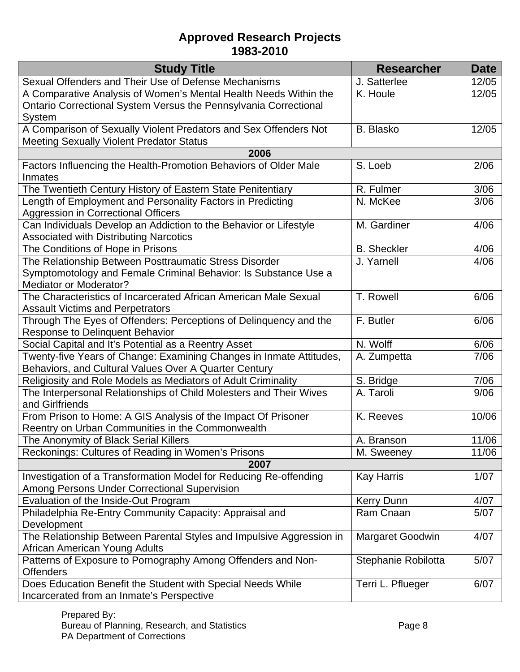| <b>Study Title</b>                                                                               | <b>Researcher</b>                | <b>Date</b> |
|--------------------------------------------------------------------------------------------------|----------------------------------|-------------|
| Sexual Offenders and Their Use of Defense Mechanisms                                             | J. Satterlee                     | 12/05       |
| A Comparative Analysis of Women's Mental Health Needs Within the                                 | K. Houle                         | 12/05       |
| Ontario Correctional System Versus the Pennsylvania Correctional                                 |                                  |             |
| System                                                                                           |                                  |             |
| A Comparison of Sexually Violent Predators and Sex Offenders Not                                 | <b>B.</b> Blasko                 | 12/05       |
| Meeting Sexually Violent Predator Status                                                         |                                  |             |
| 2006                                                                                             |                                  |             |
| Factors Influencing the Health-Promotion Behaviors of Older Male                                 | S. Loeb                          | 2/06        |
| <b>Inmates</b>                                                                                   |                                  |             |
| The Twentieth Century History of Eastern State Penitentiary                                      | R. Fulmer                        | 3/06        |
| Length of Employment and Personality Factors in Predicting                                       | N. McKee                         | 3/06        |
| Aggression in Correctional Officers                                                              |                                  |             |
| Can Individuals Develop an Addiction to the Behavior or Lifestyle                                | M. Gardiner                      | 4/06        |
| <b>Associated with Distributing Narcotics</b>                                                    |                                  | 4/06        |
| The Conditions of Hope in Prisons<br>The Relationship Between Posttraumatic Stress Disorder      | <b>B.</b> Sheckler<br>J. Yarnell | 4/06        |
|                                                                                                  |                                  |             |
| Symptomotology and Female Criminal Behavior: Is Substance Use a<br><b>Mediator or Moderator?</b> |                                  |             |
| The Characteristics of Incarcerated African American Male Sexual                                 | T. Rowell                        | 6/06        |
| <b>Assault Victims and Perpetrators</b>                                                          |                                  |             |
| Through The Eyes of Offenders: Perceptions of Delinquency and the                                | F. Butler                        | 6/06        |
| <b>Response to Delinquent Behavior</b>                                                           |                                  |             |
| Social Capital and It's Potential as a Reentry Asset                                             | N. Wolff                         | 6/06        |
| Twenty-five Years of Change: Examining Changes in Inmate Attitudes,                              | A. Zumpetta                      | 7/06        |
| Behaviors, and Cultural Values Over A Quarter Century                                            |                                  |             |
| Religiosity and Role Models as Mediators of Adult Criminality                                    | S. Bridge                        | 7/06        |
| The Interpersonal Relationships of Child Molesters and Their Wives                               | A. Taroli                        | 9/06        |
| and Girlfriends                                                                                  |                                  |             |
| From Prison to Home: A GIS Analysis of the Impact Of Prisoner                                    | K. Reeves                        | 10/06       |
| Reentry on Urban Communities in the Commonwealth                                                 |                                  |             |
| The Anonymity of Black Serial Killers                                                            | A. Branson                       | 11/06       |
| Reckonings: Cultures of Reading in Women's Prisons                                               | M. Sweeney                       | 11/06       |
| 2007                                                                                             |                                  |             |
| Investigation of a Transformation Model for Reducing Re-offending                                | <b>Kay Harris</b>                | 1/07        |
| <b>Among Persons Under Correctional Supervision</b>                                              |                                  |             |
| Evaluation of the Inside-Out Program                                                             | <b>Kerry Dunn</b>                | 4/07        |
| Philadelphia Re-Entry Community Capacity: Appraisal and                                          | Ram Cnaan                        | 5/07        |
| Development                                                                                      |                                  |             |
| The Relationship Between Parental Styles and Impulsive Aggression in                             | <b>Margaret Goodwin</b>          | 4/07        |
| African American Young Adults                                                                    |                                  |             |
| Patterns of Exposure to Pornography Among Offenders and Non-                                     | Stephanie Robilotta              | 5/07        |
| <b>Offenders</b>                                                                                 |                                  |             |
| Does Education Benefit the Student with Special Needs While                                      | Terri L. Pflueger                | 6/07        |
| Incarcerated from an Inmate's Perspective                                                        |                                  |             |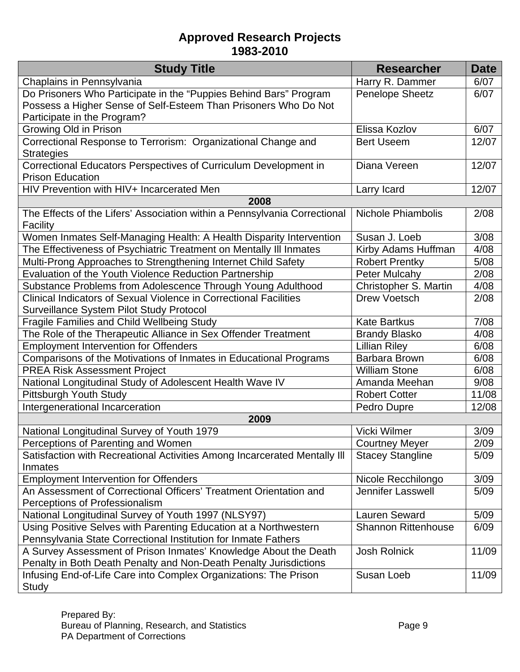| <b>Study Title</b>                                                        | <b>Researcher</b>          | <b>Date</b> |
|---------------------------------------------------------------------------|----------------------------|-------------|
| Chaplains in Pennsylvania                                                 | Harry R. Dammer            | 6/07        |
| Do Prisoners Who Participate in the "Puppies Behind Bars" Program         | Penelope Sheetz            | 6/07        |
| Possess a Higher Sense of Self-Esteem Than Prisoners Who Do Not           |                            |             |
| Participate in the Program?                                               |                            |             |
| Growing Old in Prison                                                     | Elissa Kozlov              | 6/07        |
| Correctional Response to Terrorism: Organizational Change and             | <b>Bert Useem</b>          | 12/07       |
| <b>Strategies</b>                                                         |                            |             |
| Correctional Educators Perspectives of Curriculum Development in          | Diana Vereen               | 12/07       |
| <b>Prison Education</b>                                                   |                            |             |
| HIV Prevention with HIV+ Incarcerated Men                                 | Larry Icard                | 12/07       |
| 2008                                                                      |                            |             |
| The Effects of the Lifers' Association within a Pennsylvania Correctional | <b>Nichole Phiambolis</b>  | 2/08        |
| Facility                                                                  |                            |             |
| Women Inmates Self-Managing Health: A Health Disparity Intervention       | Susan J. Loeb              | 3/08        |
| The Effectiveness of Psychiatric Treatment on Mentally III Inmates        | Kirby Adams Huffman        | 4/08        |
| Multi-Prong Approaches to Strengthening Internet Child Safety             | <b>Robert Prentky</b>      | 5/08        |
| Evaluation of the Youth Violence Reduction Partnership                    | <b>Peter Mulcahy</b>       | 2/08        |
| Substance Problems from Adolescence Through Young Adulthood               | Christopher S. Martin      | 4/08        |
| Clinical Indicators of Sexual Violence in Correctional Facilities         | Drew Voetsch               | 2/08        |
| <b>Surveillance System Pilot Study Protocol</b>                           |                            |             |
| Fragile Families and Child Wellbeing Study                                | <b>Kate Bartkus</b>        | 7/08        |
| The Role of the Therapeutic Alliance in Sex Offender Treatment            | <b>Brandy Blasko</b>       | 4/08        |
| <b>Employment Intervention for Offenders</b>                              | <b>Lillian Riley</b>       | 6/08        |
| Comparisons of the Motivations of Inmates in Educational Programs         | <b>Barbara Brown</b>       | 6/08        |
| <b>PREA Risk Assessment Project</b>                                       | <b>William Stone</b>       | 6/08        |
| National Longitudinal Study of Adolescent Health Wave IV                  | Amanda Meehan              | 9/08        |
| Pittsburgh Youth Study                                                    | <b>Robert Cotter</b>       | 11/08       |
| Intergenerational Incarceration                                           | Pedro Dupre                | 12/08       |
| 2009                                                                      |                            |             |
| National Longitudinal Survey of Youth 1979                                | Vicki Wilmer               | 3/09        |
| Perceptions of Parenting and Women                                        | <b>Courtney Meyer</b>      | 2/09        |
| Satisfaction with Recreational Activities Among Incarcerated Mentally III | <b>Stacey Stangline</b>    | 5/09        |
| Inmates                                                                   |                            |             |
| <b>Employment Intervention for Offenders</b>                              | Nicole Recchilongo         | 3/09        |
| An Assessment of Correctional Officers' Treatment Orientation and         | Jennifer Lasswell          | 5/09        |
| Perceptions of Professionalism                                            |                            |             |
| National Longitudinal Survey of Youth 1997 (NLSY97)                       | <b>Lauren Seward</b>       | 5/09        |
| Using Positive Selves with Parenting Education at a Northwestern          | <b>Shannon Rittenhouse</b> | 6/09        |
| Pennsylvania State Correctional Institution for Inmate Fathers            |                            |             |
| A Survey Assessment of Prison Inmates' Knowledge About the Death          | <b>Josh Rolnick</b>        | 11/09       |
| Penalty in Both Death Penalty and Non-Death Penalty Jurisdictions         |                            |             |
| Infusing End-of-Life Care into Complex Organizations: The Prison          | Susan Loeb                 | 11/09       |
| Study                                                                     |                            |             |